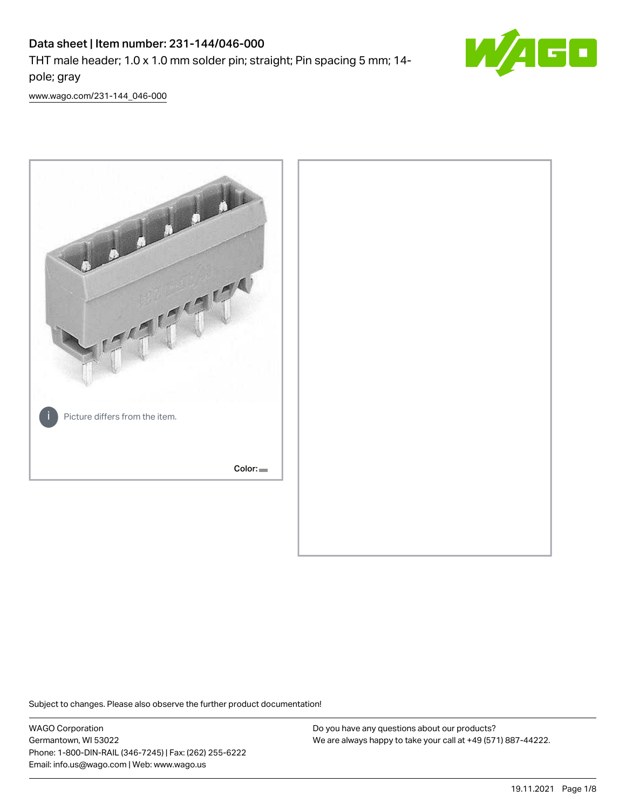# Data sheet | Item number: 231-144/046-000

THT male header; 1.0 x 1.0 mm solder pin; straight; Pin spacing 5 mm; 14 pole; gray



[www.wago.com/231-144\\_046-000](http://www.wago.com/231-144_046-000)



Subject to changes. Please also observe the further product documentation!

WAGO Corporation Germantown, WI 53022 Phone: 1-800-DIN-RAIL (346-7245) | Fax: (262) 255-6222 Email: info.us@wago.com | Web: www.wago.us

Do you have any questions about our products? We are always happy to take your call at +49 (571) 887-44222.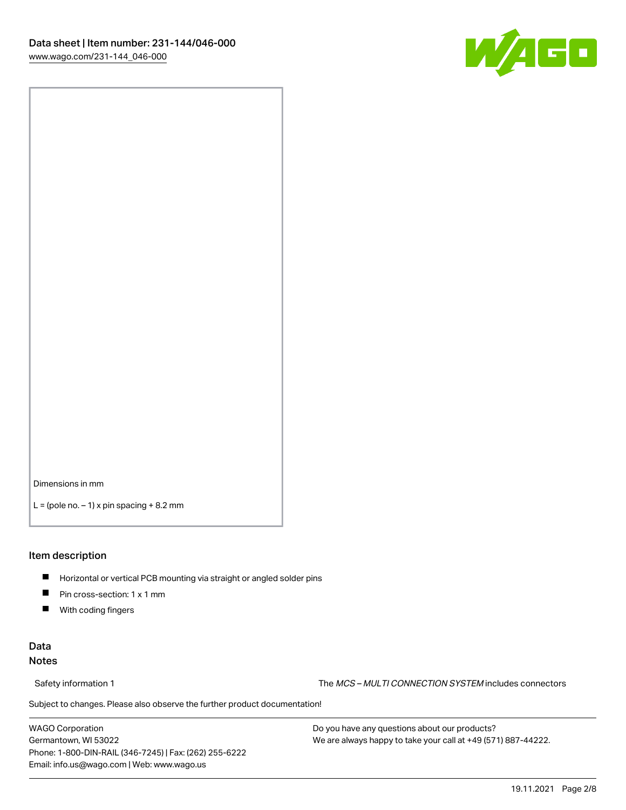

Dimensions in mm

 $L =$  (pole no.  $-1$ ) x pin spacing  $+8.2$  mm

#### Item description

- **Horizontal or vertical PCB mounting via straight or angled solder pins**
- **Pin cross-section: 1 x 1 mm**
- $\blacksquare$ With coding fingers

### Data Notes

Safety information 1 The MCS – MULTI CONNECTION SYSTEM includes connectors

Subject to changes. Please also observe the further product documentation!  $\nu$ 

WAGO Corporation Germantown, WI 53022 Phone: 1-800-DIN-RAIL (346-7245) | Fax: (262) 255-6222 Email: info.us@wago.com | Web: www.wago.us

Do you have any questions about our products? We are always happy to take your call at +49 (571) 887-44222.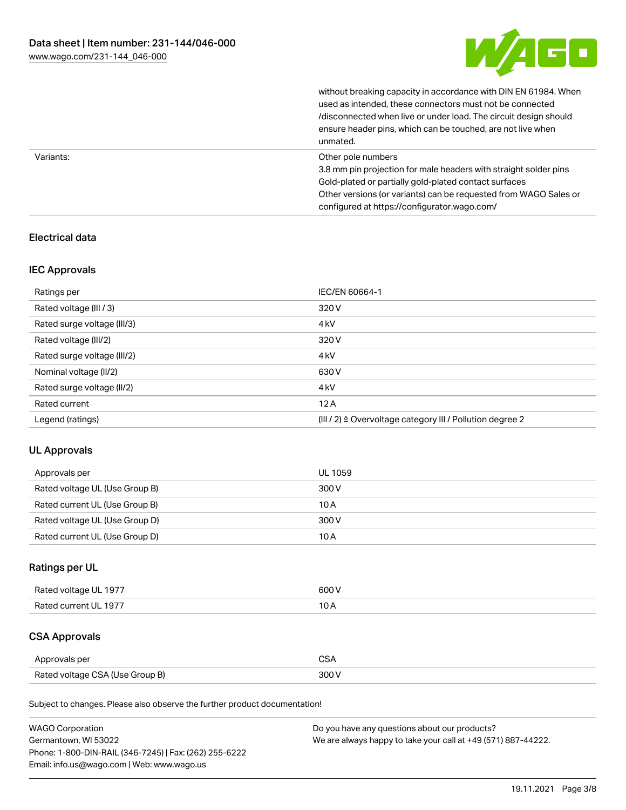

without breaking capacity in accordance with DIN EN 61984. When

|           | used as intended, these connectors must not be connected<br>/disconnected when live or under load. The circuit design should<br>ensure header pins, which can be touched, are not live when<br>unmated.             |
|-----------|---------------------------------------------------------------------------------------------------------------------------------------------------------------------------------------------------------------------|
| Variants: | Other pole numbers<br>3.8 mm pin projection for male headers with straight solder pins<br>Gold-plated or partially gold-plated contact surfaces<br>Other versions (or variants) can be requested from WAGO Sales or |
|           | configured at https://configurator.wago.com/                                                                                                                                                                        |

## Electrical data

### IEC Approvals

| Ratings per                 | IEC/EN 60664-1                                                        |
|-----------------------------|-----------------------------------------------------------------------|
| Rated voltage (III / 3)     | 320 V                                                                 |
| Rated surge voltage (III/3) | 4 <sub>k</sub> V                                                      |
| Rated voltage (III/2)       | 320 V                                                                 |
| Rated surge voltage (III/2) | 4 <sub>k</sub> V                                                      |
| Nominal voltage (II/2)      | 630 V                                                                 |
| Rated surge voltage (II/2)  | 4 <sub>k</sub> V                                                      |
| Rated current               | 12A                                                                   |
| Legend (ratings)            | $(III / 2)$ $\triangle$ Overvoltage category III / Pollution degree 2 |

### UL Approvals

| Approvals per                  | UL 1059 |
|--------------------------------|---------|
| Rated voltage UL (Use Group B) | 300 V   |
| Rated current UL (Use Group B) | 10 A    |
| Rated voltage UL (Use Group D) | 300 V   |
| Rated current UL (Use Group D) | 10 A    |

## Ratings per UL

| Rated voltage UL 1977 | 600 V |
|-----------------------|-------|
| Rated current UL 1977 |       |

# CSA Approvals

| Approvals per                   |  |
|---------------------------------|--|
| Rated voltage CSA (Use Group B) |  |

Subject to changes. Please also observe the further product documentation!

| <b>WAGO Corporation</b>                                | Do you have any questions about our products?                 |
|--------------------------------------------------------|---------------------------------------------------------------|
| Germantown, WI 53022                                   | We are always happy to take your call at +49 (571) 887-44222. |
| Phone: 1-800-DIN-RAIL (346-7245)   Fax: (262) 255-6222 |                                                               |
| Email: info.us@wago.com   Web: www.wago.us             |                                                               |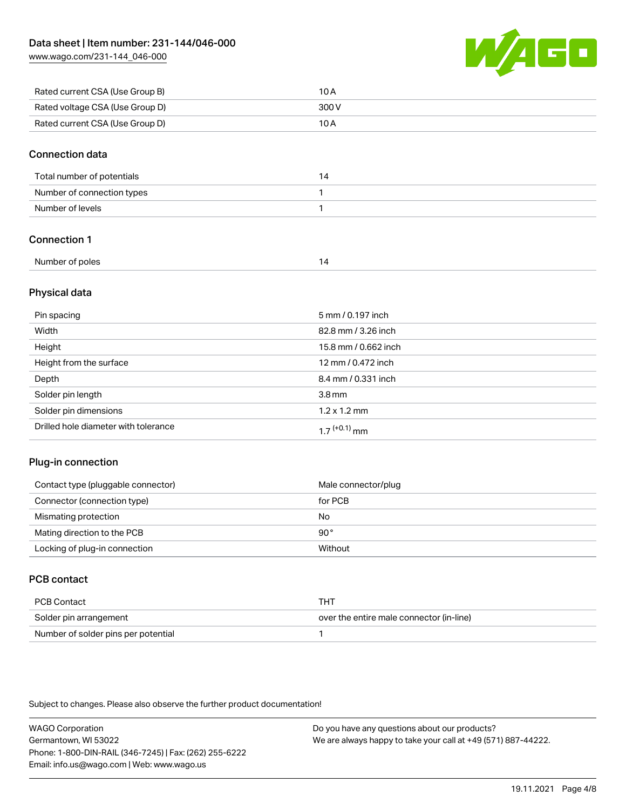[www.wago.com/231-144\\_046-000](http://www.wago.com/231-144_046-000)



| Rated current CSA (Use Group B) | 10 A  |
|---------------------------------|-------|
| Rated voltage CSA (Use Group D) | 300 V |
| Rated current CSA (Use Group D) | 10 A  |

#### Connection data

| Total number of potentials |  |
|----------------------------|--|
| Number of connection types |  |
| Number of levels           |  |

## Connection 1

| Number of poles |  |
|-----------------|--|
|                 |  |

#### Physical data

| Pin spacing                          | 5 mm / 0.197 inch           |
|--------------------------------------|-----------------------------|
| Width                                | 82.8 mm / 3.26 inch         |
| Height                               | 15.8 mm / 0.662 inch        |
| Height from the surface              | 12 mm / 0.472 inch          |
| Depth                                | 8.4 mm / 0.331 inch         |
| Solder pin length                    | $3.8 \,\mathrm{mm}$         |
| Solder pin dimensions                | $1.2 \times 1.2 \text{ mm}$ |
| Drilled hole diameter with tolerance | $17^{(+0.1)}$ mm            |

### Plug-in connection

| Contact type (pluggable connector) | Male connector/plug |
|------------------------------------|---------------------|
| Connector (connection type)        | for PCB             |
| Mismating protection               | No                  |
| Mating direction to the PCB        | 90°                 |
| Locking of plug-in connection      | Without             |

## PCB contact

| PCB Contact                         | тнт                                      |
|-------------------------------------|------------------------------------------|
| Solder pin arrangement              | over the entire male connector (in-line) |
| Number of solder pins per potential |                                          |

Subject to changes. Please also observe the further product documentation!

WAGO Corporation Germantown, WI 53022 Phone: 1-800-DIN-RAIL (346-7245) | Fax: (262) 255-6222 Email: info.us@wago.com | Web: www.wago.us Do you have any questions about our products? We are always happy to take your call at +49 (571) 887-44222.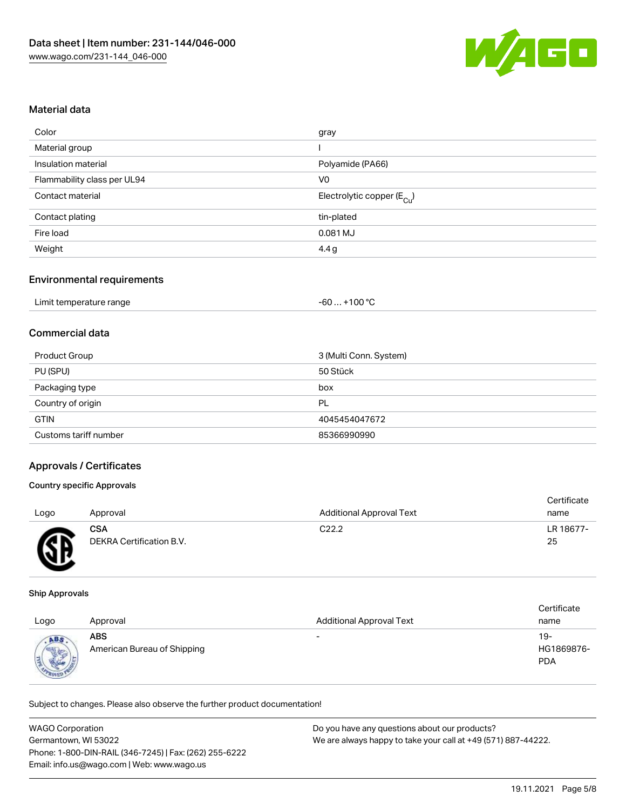

#### Material data

| gray                                   |
|----------------------------------------|
|                                        |
| Polyamide (PA66)                       |
| V <sub>0</sub>                         |
| Electrolytic copper (E <sub>Cu</sub> ) |
| tin-plated                             |
| 0.081 MJ                               |
| 4.4 g                                  |
|                                        |

#### Environmental requirements

| Limit temperature range | . +100 °C<br>-60 |
|-------------------------|------------------|
|-------------------------|------------------|

#### Commercial data

| Product Group         | 3 (Multi Conn. System) |
|-----------------------|------------------------|
| PU (SPU)              | 50 Stück               |
| Packaging type        | box                    |
| Country of origin     | PL                     |
| <b>GTIN</b>           | 4045454047672          |
| Customs tariff number | 85366990990            |

#### Approvals / Certificates

#### Country specific Approvals

|      |                          |                                 | Certificate |
|------|--------------------------|---------------------------------|-------------|
| Logo | Approval                 | <b>Additional Approval Text</b> | name        |
|      | <b>CSA</b>               | C22.2                           | LR 18677-   |
| ⌒    | DEKRA Certification B.V. |                                 | 25          |
|      |                          |                                 |             |

#### Ship Approvals

| Logo                                  | Approval                                  | <b>Additional Approval Text</b> | Certificate<br>name             |
|---------------------------------------|-------------------------------------------|---------------------------------|---------------------------------|
| ABS<br><b>Allena</b><br>$4\mu_{FR00}$ | <b>ABS</b><br>American Bureau of Shipping | -                               | 19-<br>HG1869876-<br><b>PDA</b> |

Subject to changes. Please also observe the further product documentation!

| <b>WAGO Corporation</b>                                | Do you have any questions about our products?                 |
|--------------------------------------------------------|---------------------------------------------------------------|
| Germantown. WI 53022                                   | We are always happy to take your call at +49 (571) 887-44222. |
| Phone: 1-800-DIN-RAIL (346-7245)   Fax: (262) 255-6222 |                                                               |
| Email: info.us@wago.com   Web: www.wago.us             |                                                               |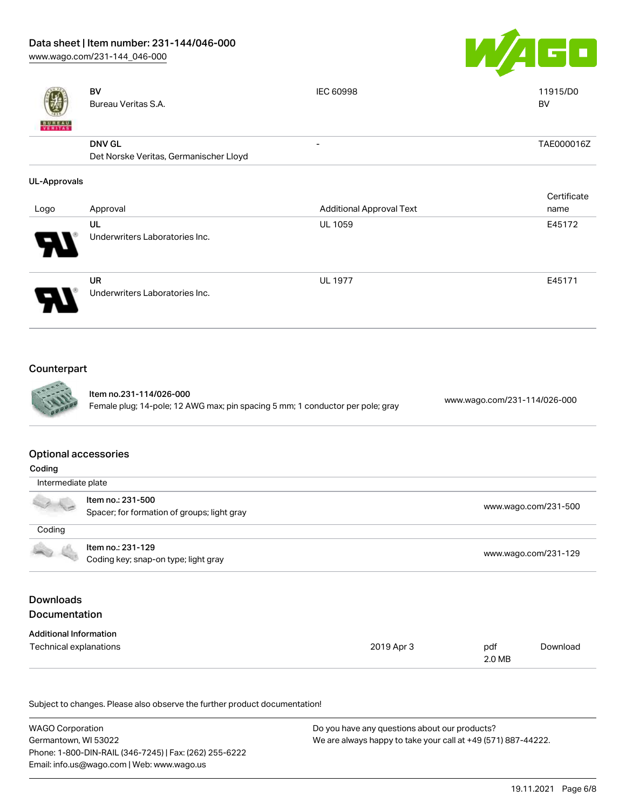# Data sheet | Item number: 231-144/046-000

[www.wago.com/231-144\\_046-000](http://www.wago.com/231-144_046-000)



|                                                                                                           | <b>BV</b><br>Bureau Veritas S.A.                                 | <b>IEC 60998</b>                | 11915/D0<br><b>BV</b>        |
|-----------------------------------------------------------------------------------------------------------|------------------------------------------------------------------|---------------------------------|------------------------------|
|                                                                                                           | <b>DNV GL</b><br>Det Norske Veritas, Germanischer Lloyd          |                                 | TAE000016Z                   |
| <b>UL-Approvals</b>                                                                                       |                                                                  |                                 |                              |
| Logo                                                                                                      | Approval                                                         | <b>Additional Approval Text</b> | Certificate<br>name          |
|                                                                                                           | UL<br>Underwriters Laboratories Inc.                             | UL 1059                         | E45172                       |
|                                                                                                           | <b>UR</b><br>Underwriters Laboratories Inc.                      | <b>UL 1977</b>                  | E45171                       |
| Counterpart                                                                                               |                                                                  |                                 |                              |
| Item no.231-114/026-000<br>Female plug; 14-pole; 12 AWG max; pin spacing 5 mm; 1 conductor per pole; gray |                                                                  |                                 | www.wago.com/231-114/026-000 |
| <b>Optional accessories</b><br>Coding                                                                     |                                                                  |                                 |                              |
| Intermediate plate                                                                                        |                                                                  |                                 |                              |
|                                                                                                           | Item no.: 231-500<br>Spacer; for formation of groups; light gray |                                 | www.wago.com/231-500         |
| Coding                                                                                                    |                                                                  |                                 |                              |
|                                                                                                           | Item no.: 231-129<br>Coding key; snap-on type; light gray        |                                 | www.wago.com/231-129         |

# Downloads **Documentation**

| <b>Additional Information</b> |            |        |          |
|-------------------------------|------------|--------|----------|
| Technical explanations        | 2019 Apr 3 | pdf    | Download |
|                               |            | 2.0 MB |          |

Subject to changes. Please also observe the further product documentation!

| <b>WAGO Corporation</b>                                | Do you have any questions about our products?                 |
|--------------------------------------------------------|---------------------------------------------------------------|
| Germantown, WI 53022                                   | We are always happy to take your call at +49 (571) 887-44222. |
| Phone: 1-800-DIN-RAIL (346-7245)   Fax: (262) 255-6222 |                                                               |
| Email: info.us@wago.com   Web: www.wago.us             |                                                               |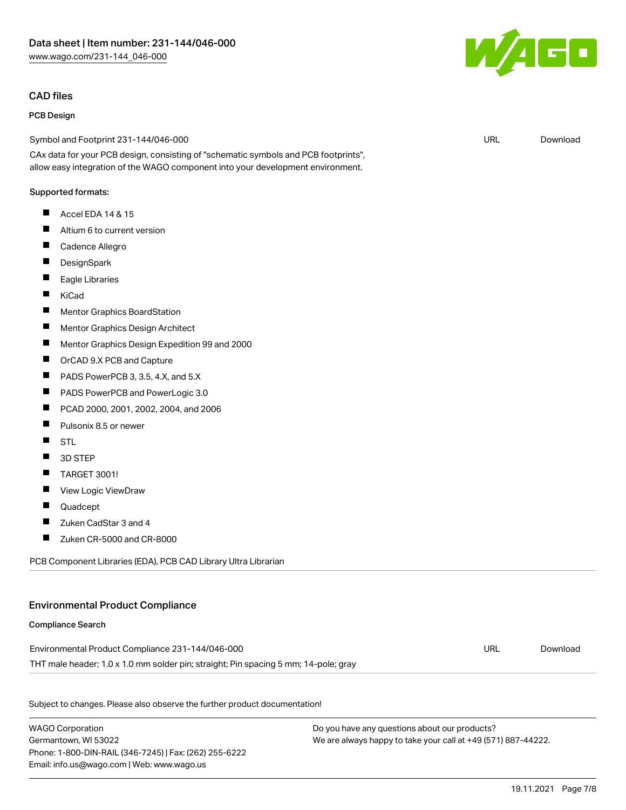#### CAD files

#### PCB Design

Symbol and Footprint 231-144/046-000

CAx data for your PCB design, consisting of "schematic symbols and PCB footprints", allow easy integration of the WAGO component into your development environment.

#### Supported formats:

- $\blacksquare$ Accel EDA 14 & 15
- $\blacksquare$ Altium 6 to current version
- $\blacksquare$ Cadence Allegro
- $\blacksquare$ **DesignSpark**
- $\blacksquare$ Eagle Libraries
- $\blacksquare$ KiCad
- $\blacksquare$ Mentor Graphics BoardStation
- $\blacksquare$ Mentor Graphics Design Architect
- $\blacksquare$ Mentor Graphics Design Expedition 99 and 2000
- $\blacksquare$ OrCAD 9.X PCB and Capture
- $\blacksquare$ PADS PowerPCB 3, 3.5, 4.X, and 5.X
- П PADS PowerPCB and PowerLogic 3.0
- $\blacksquare$ PCAD 2000, 2001, 2002, 2004, and 2006
- П Pulsonix 8.5 or newer
- $\blacksquare$ **STL**
- $\blacksquare$ 3D STEP
- $\blacksquare$ TARGET 3001!
- $\blacksquare$ View Logic ViewDraw
- $\blacksquare$ Quadcept

Compliance Search

- $\blacksquare$ Zuken CadStar 3 and 4
- $\blacksquare$ Zuken CR-5000 and CR-8000

PCB Component Libraries (EDA), PCB CAD Library Ultra Librarian

# Environmental Product Compliance

# Environmental Product Compliance 231-144/046-000

THT male header; 1.0 x 1.0 mm solder pin; straight; Pin spacing 5 mm; 14-pole; gray

Subject to changes. Please also observe the further product documentation!

WAGO Corporation Germantown, WI 53022 Phone: 1-800-DIN-RAIL (346-7245) | Fax: (262) 255-6222 Email: info.us@wago.com | Web: www.wago.us

Do you have any questions about our products? We are always happy to take your call at +49 (571) 887-44222.



URL [Download](https://www.wago.com/global/d/UltraLibrarian_URLS_231-144_046-000)

URL [Download](https://www.wago.com/global/d/ComplianceLinkMediaContainer_231-144_046-000)